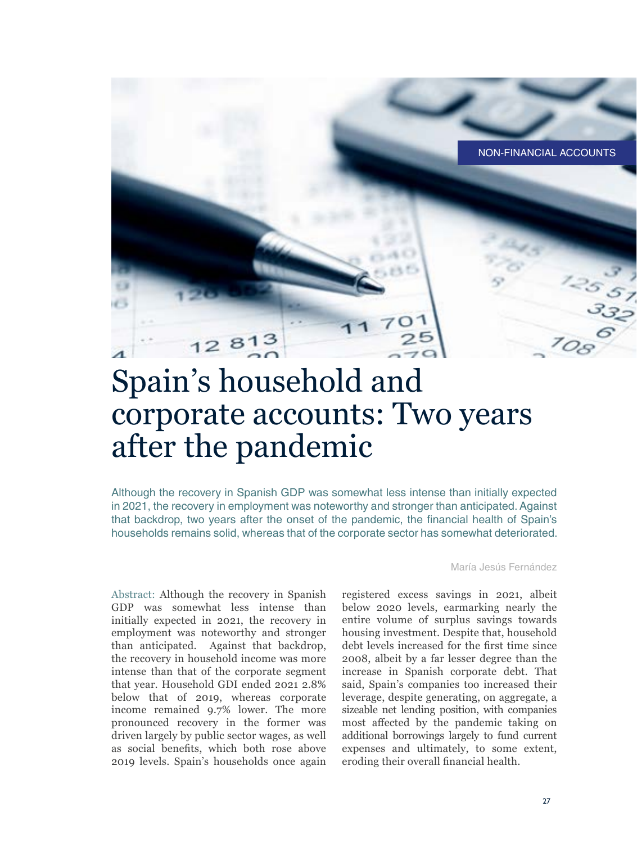

# Spain's household and corporate accounts: Two years after the pandemic

Although the recovery in Spanish GDP was somewhat less intense than initially expected in 2021, the recovery in employment was noteworthy and stronger than anticipated. Against that backdrop, two years after the onset of the pandemic, the financial health of Spain's households remains solid, whereas that of the corporate sector has somewhat deteriorated.

Abstract: Although the recovery in Spanish GDP was somewhat less intense than initially expected in 2021, the recovery in employment was noteworthy and stronger than anticipated. Against that backdrop, the recovery in household income was more intense than that of the corporate segment that year. Household GDI ended 2021 2.8% below that of 2019, whereas corporate income remained 9.7% lower. The more pronounced recovery in the former was driven largely by public sector wages, as well as social benefits, which both rose above 2019 levels. Spain's households once again

María Jesús Fernández

registered excess savings in 2021, albeit below 2020 levels, earmarking nearly the entire volume of surplus savings towards housing investment. Despite that, household debt levels increased for the first time since 2008, albeit by a far lesser degree than the increase in Spanish corporate debt. That said, Spain's companies too increased their leverage, despite generating, on aggregate, a sizeable net lending position, with companies most affected by the pandemic taking on additional borrowings largely to fund current expenses and ultimately, to some extent, eroding their overall financial health.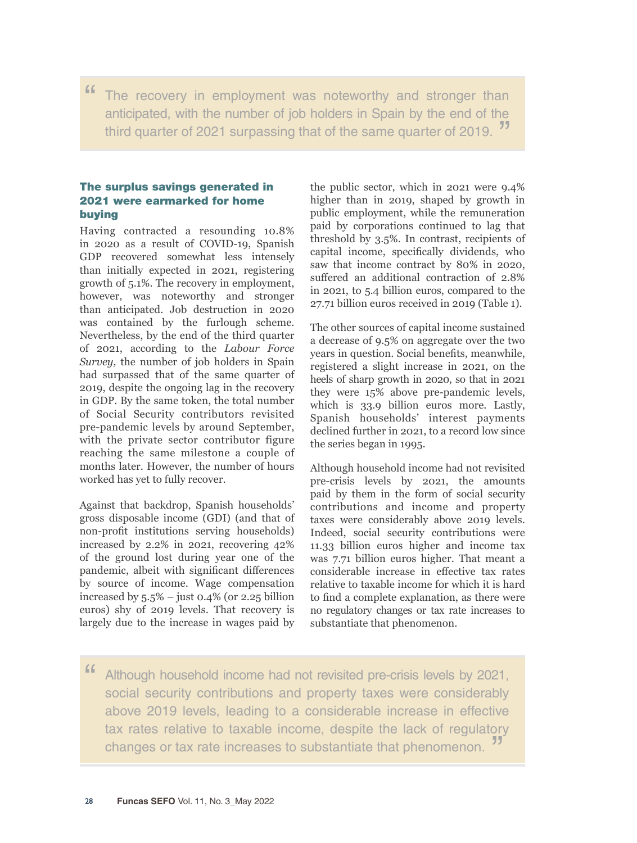" The recovery in employment was noteworthy and stronger than anticipated, with the number of job holders in Spain by the end of the third quarter of 2021 surpassing that of the same quarter of 2019.

### The surplus savings generated in 2021 were earmarked for home buying

Having contracted a resounding 10.8% in 2020 as a result of COVID-19, Spanish GDP recovered somewhat less intensely than initially expected in 2021, registering growth of 5.1%. The recovery in employment, however, was noteworthy and stronger than anticipated. Job destruction in 2020 was contained by the furlough scheme. Nevertheless, by the end of the third quarter of 2021, according to the *Labour Force Survey,* the number of job holders in Spain had surpassed that of the same quarter of 2019, despite the ongoing lag in the recovery in GDP. By the same token, the total number of Social Security contributors revisited pre-pandemic levels by around September, with the private sector contributor figure reaching the same milestone a couple of months later. However, the number of hours worked has yet to fully recover.

Against that backdrop, Spanish households' gross disposable income (GDI) (and that of non-profit institutions serving households) increased by 2.2% in 2021, recovering 42% of the ground lost during year one of the pandemic, albeit with significant differences by source of income. Wage compensation increased by  $5.5\%$  – just 0.4% (or 2.25 billion euros) shy of 2019 levels. That recovery is largely due to the increase in wages paid by the public sector, which in 2021 were 9.4% higher than in 2019, shaped by growth in public employment, while the remuneration paid by corporations continued to lag that threshold by 3.5%. In contrast, recipients of capital income, specifically dividends, who saw that income contract by 80% in 2020, suffered an additional contraction of 2.8% in 2021, to 5.4 billion euros, compared to the 27.71 billion euros received in 2019 (Table 1).

The other sources of capital income sustained a decrease of 9.5% on aggregate over the two years in question. Social benefits, meanwhile, registered a slight increase in 2021, on the heels of sharp growth in 2020, so that in 2021 they were 15% above pre-pandemic levels, which is 33.9 billion euros more. Lastly, Spanish households' interest payments declined further in 2021, to a record low since the series began in 1995.

Although household income had not revisited pre-crisis levels by 2021, the amounts paid by them in the form of social security contributions and income and property taxes were considerably above 2019 levels. Indeed, social security contributions were 11.33 billion euros higher and income tax was 7.71 billion euros higher. That meant a considerable increase in effective tax rates relative to taxable income for which it is hard to find a complete explanation, as there were no regulatory changes or tax rate increases to substantiate that phenomenon.

Although household income had not revisited pre-crisis levels by 2021, social security contributions and property taxes were considerably above 2019 levels, leading to a considerable increase in effective tax rates relative to taxable income, despite the lack of regulatory changes or tax rate increases to substantiate that phenomenon. "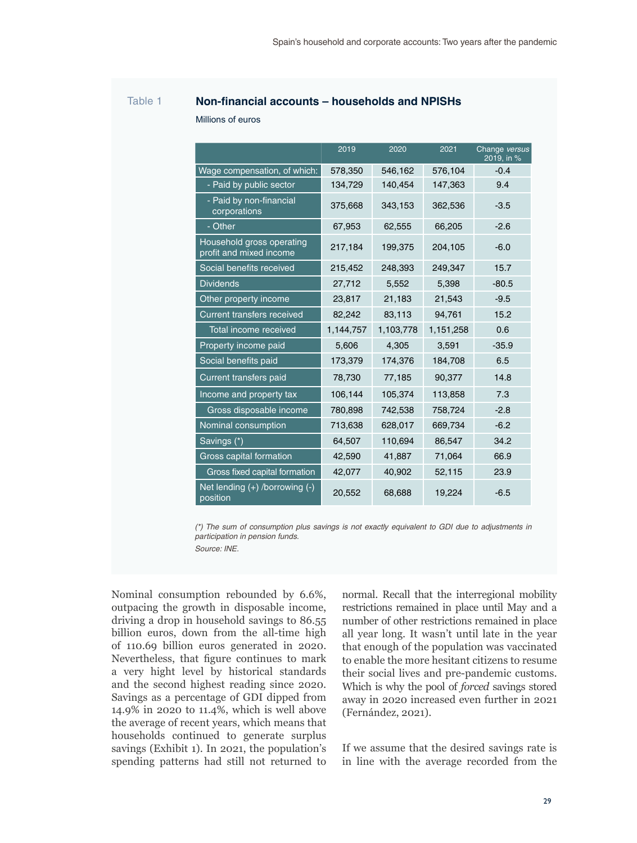## Table 1 **Non-financial accounts – households and NPISHs**

Millions of euros

|                                                      | 2019      | 2020      | 2021      | Change versus<br>2019, in % |
|------------------------------------------------------|-----------|-----------|-----------|-----------------------------|
| Wage compensation, of which:                         | 578,350   | 546,162   | 576,104   | $-0.4$                      |
| - Paid by public sector                              | 134,729   | 140,454   | 147,363   | 9.4                         |
| - Paid by non-financial<br>corporations              | 375,668   | 343,153   | 362,536   | $-3.5$                      |
| - Other                                              | 67,953    | 62,555    | 66,205    | $-2.6$                      |
| Household gross operating<br>profit and mixed income | 217,184   | 199,375   | 204,105   | $-6.0$                      |
| Social benefits received                             | 215,452   | 248,393   | 249,347   | 15.7                        |
| <b>Dividends</b>                                     | 27,712    | 5,552     | 5,398     | $-80.5$                     |
| Other property income                                | 23,817    | 21,183    | 21,543    | $-9.5$                      |
| <b>Current transfers received</b>                    | 82,242    | 83,113    | 94,761    | 15.2                        |
| <b>Total income received</b>                         | 1,144,757 | 1,103,778 | 1,151,258 | 0.6                         |
| Property income paid                                 | 5,606     | 4,305     | 3,591     | $-35.9$                     |
| Social benefits paid                                 | 173,379   | 174,376   | 184,708   | 6.5                         |
| Current transfers paid                               | 78,730    | 77,185    | 90,377    | 14.8                        |
| Income and property tax                              | 106,144   | 105,374   | 113,858   | 7.3                         |
| Gross disposable income                              | 780,898   | 742,538   | 758,724   | $-2.8$                      |
| Nominal consumption                                  | 713,638   | 628,017   | 669,734   | $-6.2$                      |
| Savings (*)                                          | 64,507    | 110,694   | 86,547    | 34.2                        |
| Gross capital formation                              | 42,590    | 41,887    | 71,064    | 66.9                        |
| Gross fixed capital formation                        | 42,077    | 40,902    | 52,115    | 23.9                        |
| Net lending (+) /borrowing (-)<br>position           | 20,552    | 68,688    | 19,224    | $-6.5$                      |

*(\*) The sum of consumption plus savings is not exactly equivalent to GDI due to adjustments in participation in pension funds. Source: INE.*

Nominal consumption rebounded by 6.6%, outpacing the growth in disposable income, driving a drop in household savings to 86.55 billion euros, down from the all-time high of 110.69 billion euros generated in 2020. Nevertheless, that figure continues to mark a very hight level by historical standards and the second highest reading since 2020. Savings as a percentage of GDI dipped from 14.9% in 2020 to 11.4%, which is well above the average of recent years, which means that households continued to generate surplus savings (Exhibit 1). In 2021, the population's spending patterns had still not returned to

normal. Recall that the interregional mobility restrictions remained in place until May and a number of other restrictions remained in place all year long. It wasn't until late in the year that enough of the population was vaccinated to enable the more hesitant citizens to resume their social lives and pre-pandemic customs. Which is why the pool of *forced* savings stored away in 2020 increased even further in 2021 (Fernández, 2021).

If we assume that the desired savings rate is in line with the average recorded from the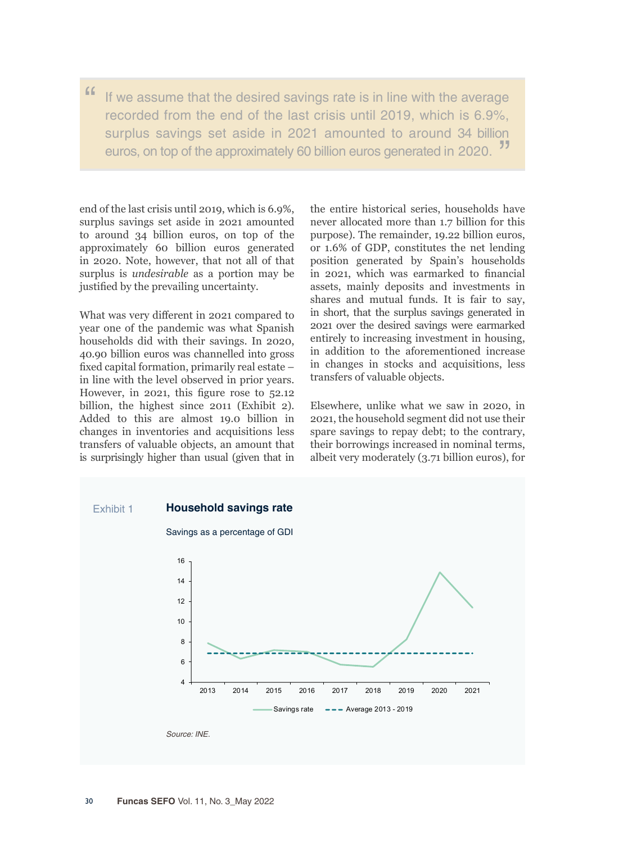" If we assume that the desired savings rate is in line with the average recorded from the end of the last crisis until 2019, which is 6.9%, surplus savings set aside in 2021 amounted to around 34 billion euros, on top of the approximately 60 billion euros generated in 2020. "

end of the last crisis until 2019, which is 6.9%, surplus savings set aside in 2021 amounted to around 34 billion euros, on top of the approximately 60 billion euros generated in 2020. Note, however, that not all of that surplus is *undesirable* as a portion may be justified by the prevailing uncertainty.

What was very different in 2021 compared to year one of the pandemic was what Spanish households did with their savings. In 2020, 40.90 billion euros was channelled into gross fixed capital formation, primarily real estate – in line with the level observed in prior years. However, in 2021, this figure rose to 52.12 billion, the highest since 2011 (Exhibit 2). Added to this are almost 19.0 billion in changes in inventories and acquisitions less transfers of valuable objects, an amount that is surprisingly higher than usual (given that in the entire historical series, households have never allocated more than 1.7 billion for this purpose). The remainder, 19.22 billion euros, or 1.6% of GDP, constitutes the net lending position generated by Spain's households in 2021, which was earmarked to financial assets, mainly deposits and investments in shares and mutual funds. It is fair to say, in short, that the surplus savings generated in 2021 over the desired savings were earmarked entirely to increasing investment in housing, in addition to the aforementioned increase in changes in stocks and acquisitions, less transfers of valuable objects.

Elsewhere, unlike what we saw in 2020, in 2021, the household segment did not use their spare savings to repay debt; to the contrary, their borrowings increased in nominal terms, albeit very moderately (3.71 billion euros), for

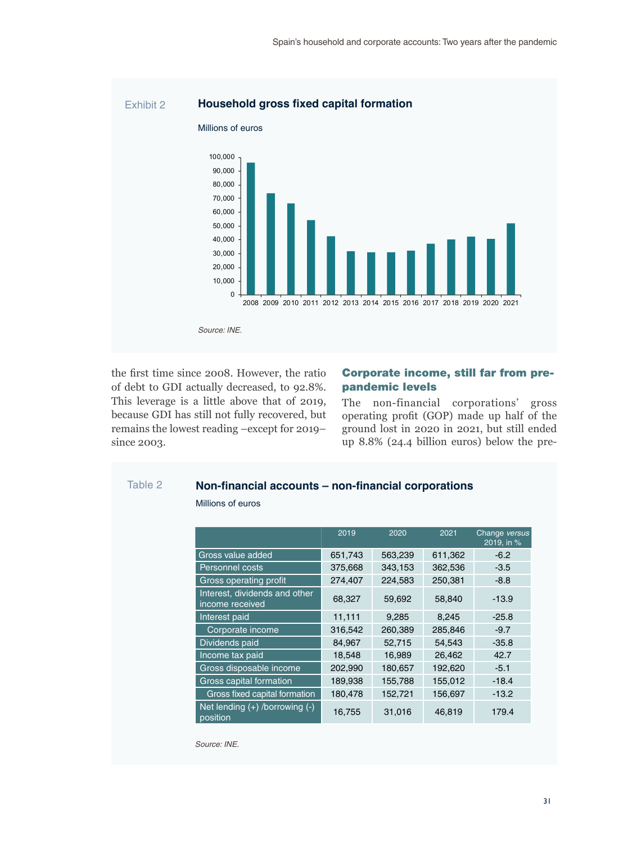

the first time since 2008. However, the ratio of debt to GDI actually decreased, to 92.8%. This leverage is a little above that of 2019, because GDI has still not fully recovered, but remains the lowest reading –except for 2019– since 2003.

#### Corporate income, still far from prepandemic levels

The non-financial corporations' gross operating profit (GOP) made up half of the ground lost in 2020 in 2021, but still ended up 8.8% (24.4 billion euros) below the pre-

#### Table 2 **Non-financial accounts – non-financial corporations**

#### Millions of euros

|                                                  | 2019    | 2020    | 2021    | Change versus<br>2019, in % |
|--------------------------------------------------|---------|---------|---------|-----------------------------|
| Gross value added                                | 651,743 | 563,239 | 611,362 | $-6.2$                      |
| <b>Personnel costs</b>                           | 375,668 | 343,153 | 362,536 | $-3.5$                      |
| Gross operating profit                           | 274,407 | 224,583 | 250,381 | $-8.8$                      |
| Interest, dividends and other<br>income received | 68,327  | 59,692  | 58,840  | $-13.9$                     |
| Interest paid                                    | 11,111  | 9,285   | 8,245   | $-25.8$                     |
| Corporate income                                 | 316,542 | 260,389 | 285,846 | $-9.7$                      |
| Dividends paid                                   | 84,967  | 52,715  | 54,543  | $-35.8$                     |
| Income tax paid                                  | 18,548  | 16,989  | 26,462  | 42.7                        |
| Gross disposable income                          | 202,990 | 180,657 | 192,620 | $-5.1$                      |
| Gross capital formation                          | 189,938 | 155,788 | 155,012 | $-18.4$                     |
| Gross fixed capital formation                    | 180,478 | 152,721 | 156,697 | $-13.2$                     |
| Net lending $(+)$ /borrowing $(-)$<br>position   | 16,755  | 31,016  | 46,819  | 179.4                       |

*Source: INE.*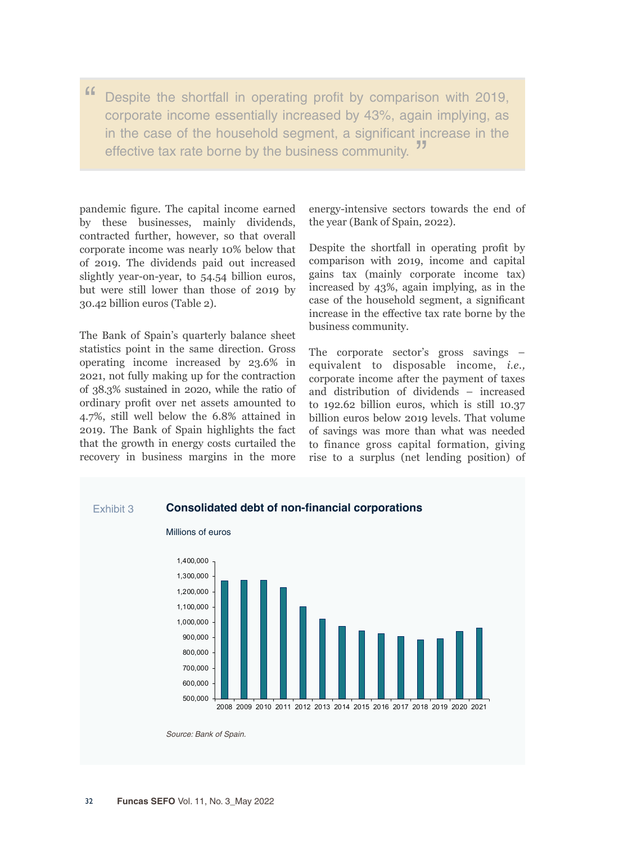" Despite the shortfall in operating profit by comparison with 2019, corporate income essentially increased by 43%, again implying, as in the case of the household segment, a significant increase in the effective tax rate borne by the business community.

pandemic figure. The capital income earned by these businesses, mainly dividends, contracted further, however, so that overall corporate income was nearly 10% below that of 2019. The dividends paid out increased slightly year-on-year, to 54.54 billion euros, but were still lower than those of 2019 by 30.42 billion euros (Table 2).

The Bank of Spain's quarterly balance sheet statistics point in the same direction. Gross operating income increased by 23.6% in 2021, not fully making up for the contraction of 38.3% sustained in 2020, while the ratio of ordinary profit over net assets amounted to 4.7%, still well below the 6.8% attained in 2019. The Bank of Spain highlights the fact that the growth in energy costs curtailed the recovery in business margins in the more energy-intensive sectors towards the end of the year (Bank of Spain, 2022).

Despite the shortfall in operating profit by comparison with 2019, income and capital gains tax (mainly corporate income tax) increased by 43%, again implying, as in the case of the household segment, a significant increase in the effective tax rate borne by the business community.

The corporate sector's gross savings – equivalent to disposable income, *i.e.,*  corporate income after the payment of taxes and distribution of dividends – increased to 192.62 billion euros, which is still 10.37 billion euros below 2019 levels. That volume of savings was more than what was needed to finance gross capital formation, giving rise to a surplus (net lending position) of